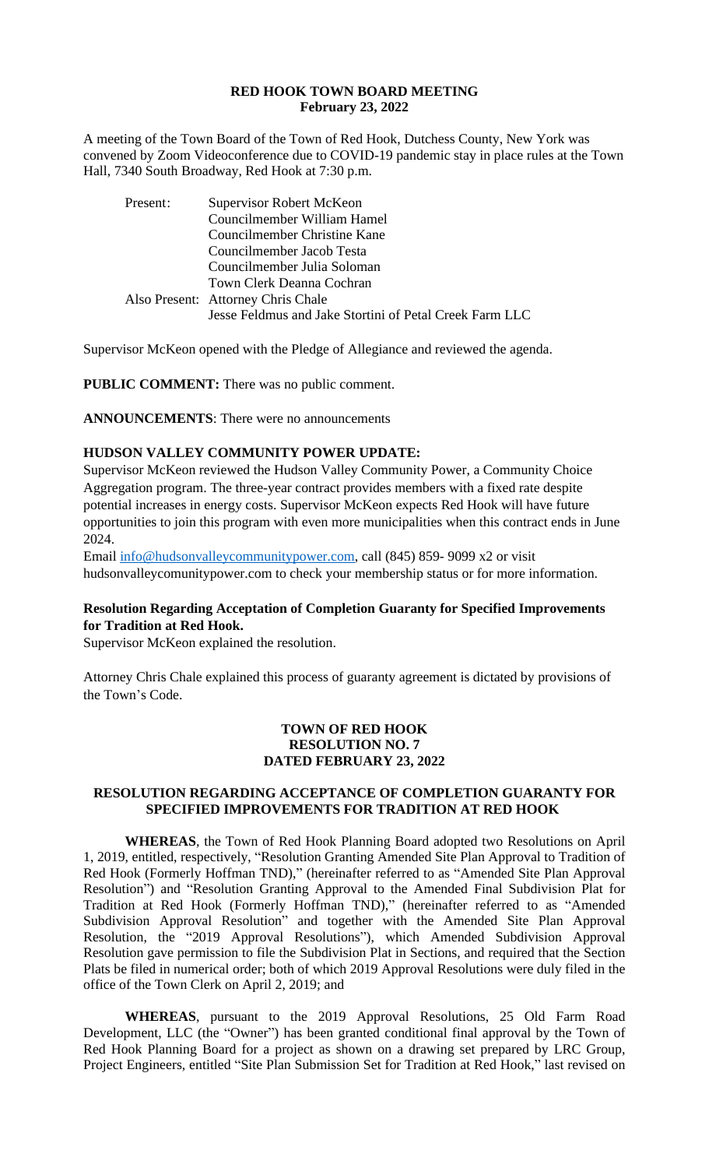| Counchmember Jacob Testa                                |
|---------------------------------------------------------|
| Councilmember Julia Soloman                             |
| Town Clerk Deanna Cochran                               |
| Also Present: Attorney Chris Chale                      |
| Jesse Feldmus and Jake Stortini of Petal Creek Farm LLC |

Supervisor McKeon opened with the Pledge of Allegiance and reviewed the agenda.

**PUBLIC COMMENT:** There was no public comment.

**ANNOUNCEMENTS**: There were no announcements

# **HUDSON VALLEY COMMUNITY POWER UPDATE:**

Supervisor McKeon reviewed the Hudson Valley Community Power, a Community Choice Aggregation program. The three-year contract provides members with a fixed rate despite potential increases in energy costs. Supervisor McKeon expects Red Hook will have future opportunities to join this program with even more municipalities when this contract ends in June 2024.

Email info@hudsonvalleycommunitypower.com, call (845) 859- 9099 x2 or visit hudsonvalleycomunitypower.com to check your membership status or for more information.

# **Resolution Regarding Acceptation of Completion Guaranty for Specified Improvements for Tradition at Red Hook.**

Supervisor McKeon explained the resolution.

Attorney Chris Chale explained this process of guaranty agreement is dictated by provisions of the Town's Code.

### **TOWN OF RED HOOK RESOLUTION NO. 7 DATED FEBRUARY 23, 2022**

# **RESOLUTION REGARDING ACCEPTANCE OF COMPLETION GUARANTY FOR [SPECIFIED IMPROVEMENTS FO](mailto:info@hudsonvalleycommunitypower.com)R TRADITION AT RED HOOK**

**WHEREAS**, the Town of Red Hook Planning Board adopted two Resolutions on April 1, 2019, entitled, respectively, "Resolution Granting Amended Site Plan Approval to Tradition of Red Hook (Formerly Hoffman TND)," (hereinafter referred to as "Amended Site Plan Approval Resolution") and "Resolution Granting Approval to the Amended Final Subdivision Plat for Tradition at Red Hook (Formerly Hoffman TND)," (hereinafter referred to as "Amended Subdivision Approval Resolution" and together with the Amended Site Plan Approval Resolution, the "2019 Approval Resolutions"), which Amended Subdivision Approval Resolution gave permission to file the Subdivision Plat in Sections, and required that the Section Plats be filed in numerical order; both of which 2019 Approval Resolutions were duly filed in the office of the Town Clerk on April 2, 2019; and

**WHEREAS**, pursuant to the 2019 Approval Resolutions, 25 Old Farm Road Development, LLC (the "Owner") has been granted conditional final approval by the Town of Red Hook Planning Board for a project as shown on a drawing set prepared by LRC Group, Project Engineers, entitled "Site Plan Submission Set for Tradition at Red Hook," last revised on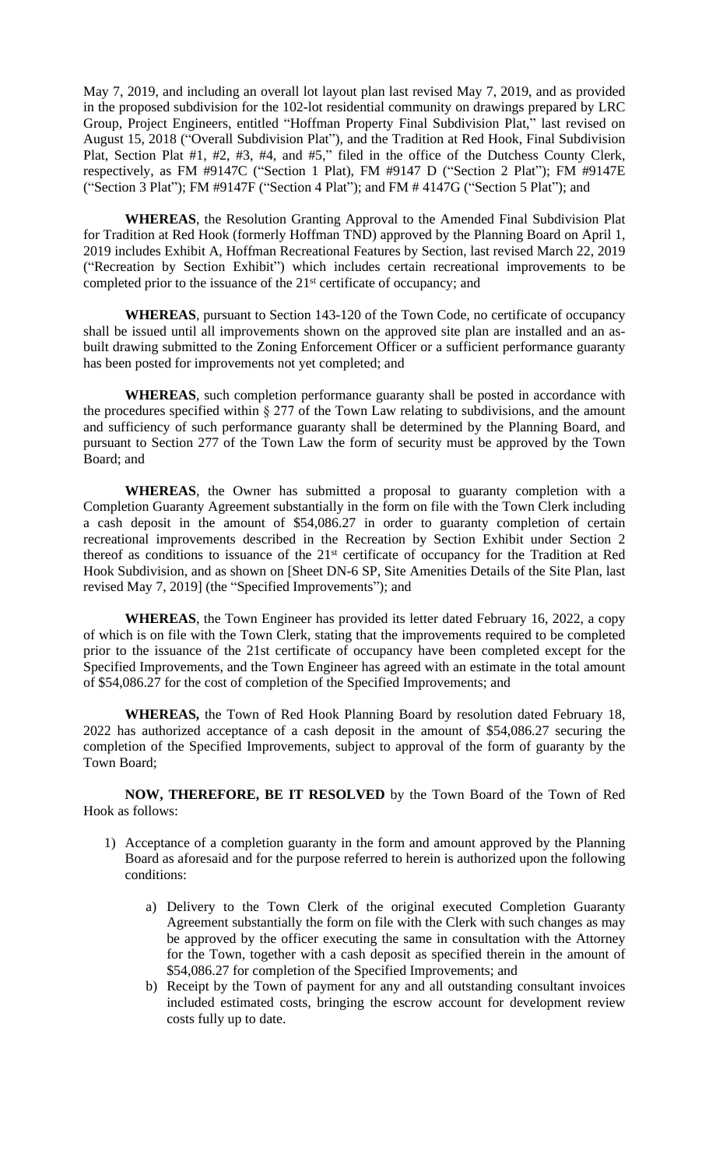May 7, 2019, and including an overall lot layout plan last revised May 7, 2019, and as provided in the proposed subdivision for the 102-lot residential community on drawings prepared by LRC Group, Project Engineers, entitled "Hoffman Property Final Subdivision Plat," last revised on August 15, 2018 ("Overall Subdivision Plat"), and the Tradition at Red Hook, Final Subdivision Plat, Section Plat #1, #2, #3, #4, and #5," filed in the office of the Dutchess County Clerk, respectively, as FM #9147C ("Section 1 Plat), FM #9147 D ("Section 2 Plat"); FM #9147E ("Section 3 Plat"); FM #9147F ("Section 4 Plat"); and FM # 4147G ("Section 5 Plat"); and

**WHEREAS**, the Resolution Granting Approval to the Amended Final Subdivision Plat for Tradition at Red Hook (formerly Hoffman TND) approved by the Planning Board on April 1, 2019 includes Exhibit A, Hoffman Recreational Features by Section, last revised March 22, 2019 ("Recreation by Section Exhibit") which includes certain recreational improvements to be completed prior to the issuance of the 21<sup>st</sup> certificate of occupancy; and

**WHEREAS**, pursuant to Section 143-120 of the Town Code, no certificate of occupancy shall be issued until all improvements shown on the approved site plan are installed and an asbuilt drawing submitted to the Zoning Enforcement Officer or a sufficient performance guaranty has been posted for improvements not yet completed; and

**WHEREAS**, such completion performance guaranty shall be posted in accordance with the procedures specified within § 277 of the Town Law relating to subdivisions, and the amount and sufficiency of such performance guaranty shall be determined by the Planning Board, and pursuant to Section 277 of the Town Law the form of security must be approved by the Town Board; and

**WHEREAS**, the Owner has submitted a proposal to guaranty completion with a Completion Guaranty Agreement substantially in the form on file with the Town Clerk including a cash deposit in the amount of \$54,086.27 in order to guaranty completion of certain recreational improvements described in the Recreation by Section Exhibit under Section 2 thereof as conditions to issuance of the 21st certificate of occupancy for the Tradition at Red Hook Subdivision, and as shown on [Sheet DN-6 SP, Site Amenities Details of the Site Plan, last revised May 7, 2019] (the "Specified Improvements"); and

**WHEREAS**, the Town Engineer has provided its letter dated February 16, 2022, a copy of which is on file with the Town Clerk, stating that the improvements required to be completed prior to the issuance of the 21st certificate of occupancy have been completed except for the Specified Improvements, and the Town Engineer has agreed with an estimate in the total amount of \$54,086.27 for the cost of completion of the Specified Improvements; and

**WHEREAS,** the Town of Red Hook Planning Board by resolution dated February 18, 2022 has authorized acceptance of a cash deposit in the amount of \$54,086.27 securing the completion of the Specified Improvements, subject to approval of the form of guaranty by the Town Board;

**NOW, THEREFORE, BE IT RESOLVED** by the Town Board of the Town of Red Hook as follows:

- 1) Acceptance of a completion guaranty in the form and amount approved by the Planning Board as aforesaid and for the purpose referred to herein is authorized upon the following conditions:
	- a) Delivery to the Town Clerk of the original executed Completion Guaranty Agreement substantially the form on file with the Clerk with such changes as may be approved by the officer executing the same in consultation with the Attorney for the Town, together with a cash deposit as specified therein in the amount of \$54,086.27 for completion of the Specified Improvements; and
	- b) Receipt by the Town of payment for any and all outstanding consultant invoices included estimated costs, bringing the escrow account for development review costs fully up to date.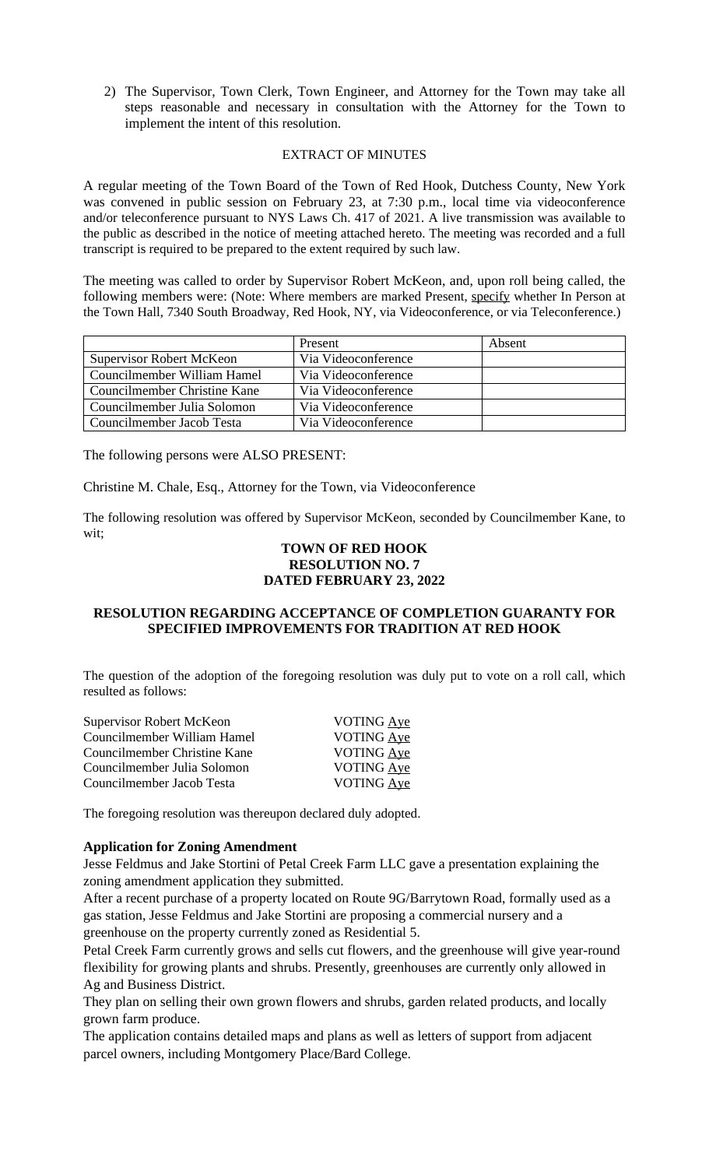2) The Supervisor, Town Clerk, Town Engineer, and Attorney for the Town may take all steps reasonable and necessary in consultation with the Attorney for the Town to implement the intent of this resolution.

#### EXTRACT OF MINUTES

A regular meeting of the Town Board of the Town of Red Hook, Dutchess County, New York was convened in public session on February 23, at 7:30 p.m., local time via videoconference and/or teleconference pursuant to NYS Laws Ch. 417 of 2021. A live transmission was available to the public as described in the notice of meeting attached hereto. The meeting was recorded and a full transcript is required to be prepared to the extent required by such law.

The meeting was called to order by Supervisor Robert McKeon, and, upon roll being called, the following members were: (Note: Where members are marked Present, specify whether In Person at the Town Hall, 7340 South Broadway, Red Hook, NY, via Videoconference, or via Teleconference.)

|                                 | Present             | Absent |
|---------------------------------|---------------------|--------|
| <b>Supervisor Robert McKeon</b> | Via Videoconference |        |
| Councilmember William Hamel     | Via Videoconference |        |
| Councilmember Christine Kane    | Via Videoconference |        |
| Councilmember Julia Solomon     | Via Videoconference |        |
| Councilmember Jacob Testa       | Via Videoconference |        |

The following persons were ALSO PRESENT:

Christine M. Chale, Esq., Attorney for the Town, via Videoconference

The following resolution was offered by Supervisor McKeon, seconded by Councilmember Kane, to wit;

# **TOWN OF RED HOOK RESOLUTION NO. 7 DATED FEBRUARY 23, 2022**

# **RESOLUTION REGARDING ACCEPTANCE OF COMPLETION GUARANTY FOR SPECIFIED IMPROVEMENTS FOR TRADITION AT RED HOOK**

The question of the adoption of the foregoing resolution was duly put to vote on a roll call, which resulted as follows:

| Supervisor Robert McKeon     | VOTING Aye        |
|------------------------------|-------------------|
| Councilmember William Hamel  | <b>VOTING Ave</b> |
| Councilmember Christine Kane | VOTING Aye        |
| Councilmember Julia Solomon  | VOTING Aye        |
| Councilmember Jacob Testa    | VOTING Aye        |
|                              |                   |

The foregoing resolution was thereupon declared duly adopted.

## **Application for Zoning Amendment**

Jesse Feldmus and Jake Stortini of Petal Creek Farm LLC gave a presentation explaining the zoning amendment application they submitted.

After a recent purchase of a property located on Route 9G/Barrytown Road, formally used as a gas station, Jesse Feldmus and Jake Stortini are proposing a commercial nursery and a greenhouse on the property currently zoned as Residential 5.

Petal Creek Farm currently grows and sells cut flowers, and the greenhouse will give year-round flexibility for growing plants and shrubs. Presently, greenhouses are currently only allowed in Ag and Business District.

They plan on selling their own grown flowers and shrubs, garden related products, and locally grown farm produce.

The application contains detailed maps and plans as well as letters of support from adjacent parcel owners, including Montgomery Place/Bard College.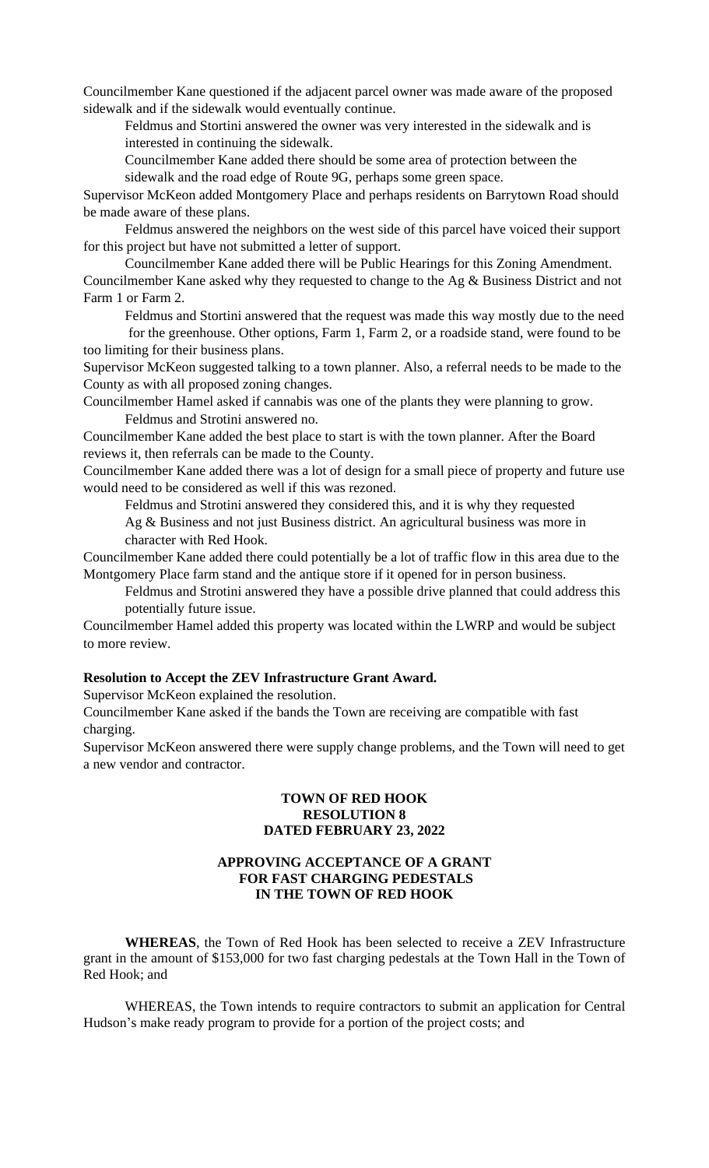Councilmember Kane questioned if the adjacent parcel owner was made aware of the proposed sidewalk and if the sidewalk would eventually continue.

Feldmus and Stortini answered the owner was very interested in the sidewalk and is interested in continuing the sidewalk.

Councilmember Kane added there should be some area of protection between the sidewalk and the road edge of Route 9G, perhaps some green space.

Supervisor McKeon added Montgomery Place and perhaps residents on Barrytown Road should be made aware of these plans.

Feldmus answered the neighbors on the west side of this parcel have voiced their support for this project but have not submitted a letter of support.

Councilmember Kane added there will be Public Hearings for this Zoning Amendment. Councilmember Kane asked why they requested to change to the Ag & Business District and not Farm 1 or Farm 2.

Feldmus and Stortini answered that the request was made this way mostly due to the need

 for the greenhouse. Other options, Farm 1, Farm 2, or a roadside stand, were found to be too limiting for their business plans.

Supervisor McKeon suggested talking to a town planner. Also, a referral needs to be made to the County as with all proposed zoning changes.

Councilmember Hamel asked if cannabis was one of the plants they were planning to grow. Feldmus and Strotini answered no.

Councilmember Kane added the best place to start is with the town planner. After the Board reviews it, then referrals can be made to the County.

Councilmember Kane added there was a lot of design for a small piece of property and future use would need to be considered as well if this was rezoned.

Feldmus and Strotini answered they considered this, and it is why they requested

Ag & Business and not just Business district. An agricultural business was more in character with Red Hook.

Councilmember Kane added there could potentially be a lot of traffic flow in this area due to the Montgomery Place farm stand and the antique store if it opened for in person business.

Feldmus and Strotini answered they have a possible drive planned that could address this potentially future issue.

Councilmember Hamel added this property was located within the LWRP and would be subject to more review.

# **Resolution to Accept the ZEV Infrastructure Grant Award.**

Supervisor McKeon explained the resolution.

Councilmember Kane asked if the bands the Town are receiving are compatible with fast charging.

Supervisor McKeon answered there were supply change problems, and the Town will need to get a new vendor and contractor.

#### **TOWN OF RED HOOK RESOLUTION 8 DATED FEBRUARY 23, 2022**

#### **APPROVING ACCEPTANCE OF A GRANT FOR FAST CHARGING PEDESTALS IN THE TOWN OF RED HOOK**

**WHEREAS**, the Town of Red Hook has been selected to receive a ZEV Infrastructure grant in the amount of \$153,000 for two fast charging pedestals at the Town Hall in the Town of Red Hook; and

WHEREAS, the Town intends to require contractors to submit an application for Central Hudson's make ready program to provide for a portion of the project costs; and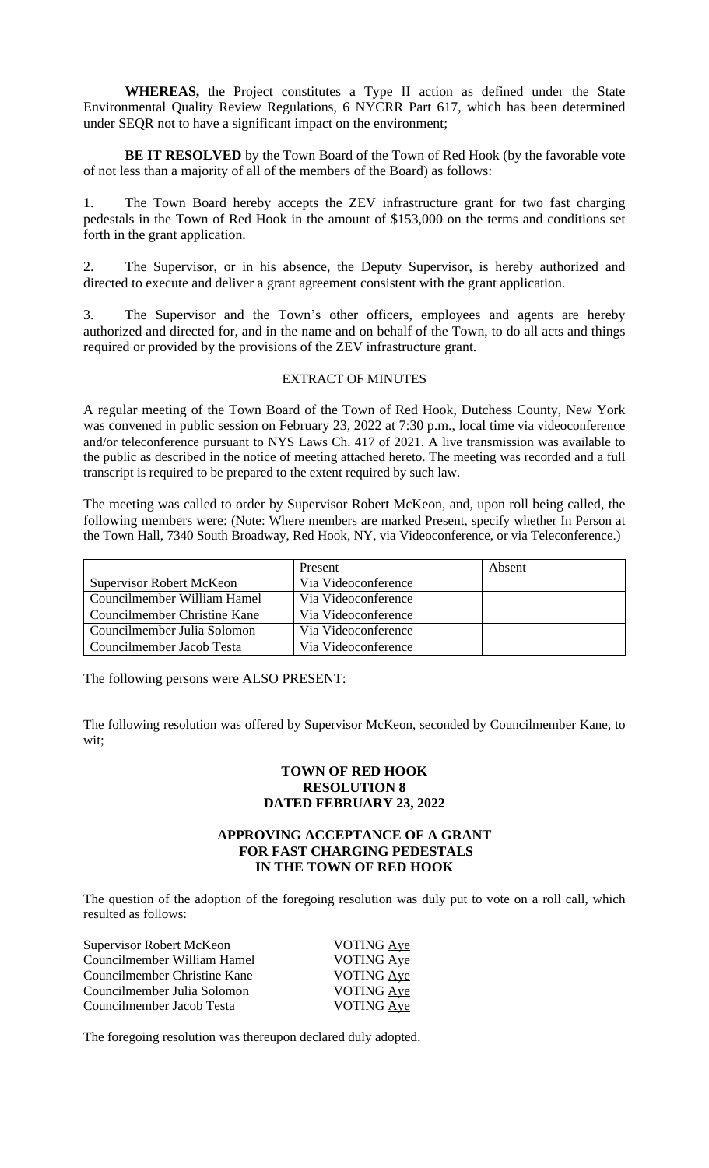**WHEREAS,** the Project constitutes a Type II action as defined under the State Environmental Quality Review Regulations, 6 NYCRR Part 617, which has been determined under SEQR not to have a significant impact on the environment;

**BE IT RESOLVED** by the Town Board of the Town of Red Hook (by the favorable vote of not less than a majority of all of the members of the Board) as follows:

1. The Town Board hereby accepts the ZEV infrastructure grant for two fast charging pedestals in the Town of Red Hook in the amount of \$153,000 on the terms and conditions set forth in the grant application.

2. The Supervisor, or in his absence, the Deputy Supervisor, is hereby authorized and directed to execute and deliver a grant agreement consistent with the grant application.

3. The Supervisor and the Town's other officers, employees and agents are hereby authorized and directed for, and in the name and on behalf of the Town, to do all acts and things required or provided by the provisions of the ZEV infrastructure grant.

#### EXTRACT OF MINUTES

A regular meeting of the Town Board of the Town of Red Hook, Dutchess County, New York was convened in public session on February 23, 2022 at 7:30 p.m., local time via videoconference and/or teleconference pursuant to NYS Laws Ch. 417 of 2021. A live transmission was available to the public as described in the notice of meeting attached hereto. The meeting was recorded and a full transcript is required to be prepared to the extent required by such law.

The meeting was called to order by Supervisor Robert McKeon, and, upon roll being called, the following members were: (Note: Where members are marked Present, specify whether In Person at the Town Hall, 7340 South Broadway, Red Hook, NY, via Videoconference, or via Teleconference.)

|                                 | Present             | Absent |
|---------------------------------|---------------------|--------|
| <b>Supervisor Robert McKeon</b> | Via Videoconference |        |
| Councilmember William Hamel     | Via Videoconference |        |
| Councilmember Christine Kane    | Via Videoconference |        |
| Councilmember Julia Solomon     | Via Videoconference |        |
| Councilmember Jacob Testa       | Via Videoconference |        |

The following persons were ALSO PRESENT:

The following resolution was offered by Supervisor McKeon, seconded by Councilmember Kane, to wit;

### **TOWN OF RED HOOK RESOLUTION 8 DATED FEBRUARY 23, 2022**

#### **APPROVING ACCEPTANCE OF A GRANT FOR FAST CHARGING PEDESTALS IN THE TOWN OF RED HOOK**

The question of the adoption of the foregoing resolution was duly put to vote on a roll call, which resulted as follows:

| Supervisor Robert McKeon     | <b>VOTING Aye</b> |
|------------------------------|-------------------|
| Councilmember William Hamel  | <b>VOTING Aye</b> |
| Councilmember Christine Kane | VOTING Aye        |
| Councilmember Julia Solomon  | <b>VOTING Ave</b> |
| Councilmember Jacob Testa    | VOTING Ave        |

The foregoing resolution was thereupon declared duly adopted.